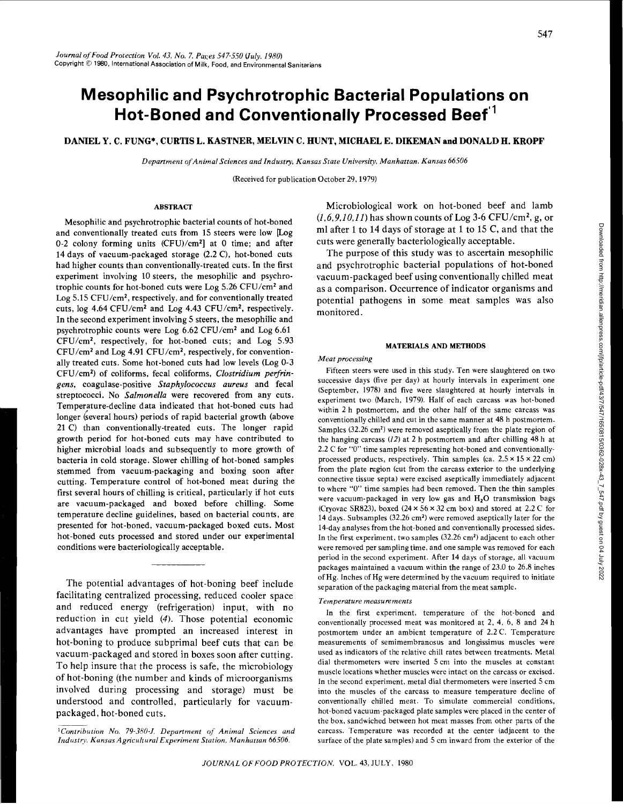# **Mesophilic and Psychrotrophic Bacterial Populations on Hot-Boned and Conventionally Processed Beet' <sup>1</sup>**

# DANIEL Y. C. FUNG\*, CURTIS L. KASTNER, MELVIN C. HUNT, MICHAEL E. DIKEMAN and DONALD H. KROPF

*Department of Animal Sciences and Industry, Kansas State University, Manhattan. Kansas 66506* 

(Received for publication October 29, 1979)

## ABSTRACT

Mesophilic and psychrotrophic bacterial counts of hot-boned and conventionally treated cuts from 15 steers were low [Log 0-2 colony forming units (CFU)/cm2] at 0 time; and after 14 days of vacuum-packaged storage (2.2 C), hot-boned cuts had higher counts than conventionally-treated cuts. In the first experiment involving 10 steers, the mesophilic and psychrotrophic counts for hot-boned cuts were Log 5.26 CFU/cm2 and Log 5.15 CFU/cm<sup>2</sup>, respectively, and for conventionally treated cuts, log 4.64 CFU/cm2 and Log 4.43 CFU/cm2, respectively. In the second experiment involving 5 steers, the mesophilic and psychrotrophic counts were Log 6.62 CFU/cm<sup>2</sup>and Log 6.61 CFU/cm2 , respectively, for hot-boned cuts; and Log 5.93 CFU/cm2 and Log 4.91 CFU/cm2, respectively, for conventionally treated cuts. Some hot-boned cuts had low levels (Log 0-3 CFU/cm2 ) of coliforms, fecal coliforms, *Clostridium perfringens,* coagulase-positive *Staphylococcus aureus* and fecal streptococci. No *Salmonella* were recovered from any cuts. Temperature-decline data indicated that hot-boned cuts had longer (several hours) periods of rapid bacterial growth (above 21 C) than conventionally-treated cuts. The longer rapid growth period for hot-boned cuts may have contributed to higher microbial loads and subsequently to more growth of bacteria in cold storage. Slower chilling of hot-boned samples stemmed from vacuum-packaging and boxing soon after cutting. Temperature control of hot-boned meat during the first several hours of chilling is critical, particularly if hot cuts are vacuum-packaged and boxed before chilling. Some temperature decline guidelines, based on bacterial counts, are presented for hot-boned, vacuum-packaged boxed cuts. Most hot-boned cuts processed and stored under our experimental conditions were bacteriologically acceptable.

The potential advantages of hot-boning beef include facilitating centralized processing, reduced cooler space and reduced energy (refrigeration) input, with no reduction in cut yield (4). Those potential economic advantages have prompted an increased interest in hot-boning to produce subprimal beef cuts that can be vacuum-packaged and stored in boxes soon after cutting. To help insure that the process is safe, the microbiology of hot-boning (the number and kinds of microorganisms involved during processing and storage) must be understood and controlled, particularly for vacuumpackaged, hot-boned cuts.

Microbiological work on hot-boned beef and lamb *(1,6,9,10,11)* has shown counts of Log 3-6 CFU/cm2, g, or ml after 1 to 14 days of storage at 1 to 15 C, and that the cuts were generally bacteriologically acceptable.

The purpose of this study was to ascertain mesophilic and psychrotrophic bacterial populations of hot-boned vacuum-packaged beef using conventionally chilled meat as a comparison. Occurrence of indicator organisms and potential pathogens in some meat samples was also monitored.

### MATERIALS AND METHODS

#### *Meat processing*

Fifteen steers were used in this study. Ten were slaughtered on two successive days (five per day) at hourly intervals in experiment one (September, 1978) and five were slaughtered at hourly intervals in experiment two (March, 1979). Half of each carcass was hot-boned within 2 h postmortem, and the other half of the same carcass was conventionally chilled and cut in the same manner at 48 h postmortem. Samples (32.26 cm<sup>2</sup>) were removed aseptically from the plate region of the hanging carcass  $(12)$  at 2 h postmortem and after chilling 48 h at 2.2 C for "0" time samples representing hot-boned and conventionallyprocessed products, respectively. Thin samples (ca.  $2.5 \times 15 \times 22$  cm) from the plate region (cut from the carcass exterior to the underlying connective tissue septa) were excised aseptically immediately adjacent to where "0" time samples had been removed. Then the thin samples were vacuum-packaged in very low gas and  $H<sub>2</sub>O$  transmission bags (Cryovac SR823), boxed  $(24 \times 56 \times 32 \text{ cm}$  box) and stored at 2.2 C for 14 days. Subsamples (32.26 cm2) were removed aseptically later for the 14-day analyses from the hot-boned and conventionally processed sides. In the first experiment, two samples (32.26 cm2) adjacent to each other were removed per sampling time, and one sample was removed for each period in the second experiment. After 14 days of storage, all vacuum packages maintained a vacuum within the range of 23.0 to 26.8 inches of Hg. Inches of Hg were determined by the vacuum required to initiate separation of the packaging material from the meat sample.

#### *Temperature measurements*

In the first experiment, temperature of the hot·boned and conventionally processed meat was monitored at 2, 4, 6, 8 and 24 h postmortem under an ambient temperature of 2.2 C. Temperature measurements of semimembranosus and longissimus muscles were used as indicators of the relative chill rates between treatments. Metal dial thermometers were inserted S em into the muscles at constant muscle locations whether muscles were intact on the carcass or excised. In the second experiment, metal dial thermometers were inserted S em into the muscles of the carcass to measure temperature decline of conventionally chilled meat. To simulate commercial conditions, hot-boned vacuum-packaged plate samples were placed in the center of the box, sandwiched between hot meat masses from other parts of the carcass. Temperature was recorded at the center (adjacent to the surface of the plate samples) and S em inward from the exterior of the

*<sup>&#</sup>x27;Contribution No. 79-380·J, Department of Animal Sciences and Industry. Kansas Agricultural Experiment Station, Manhattan 66506.*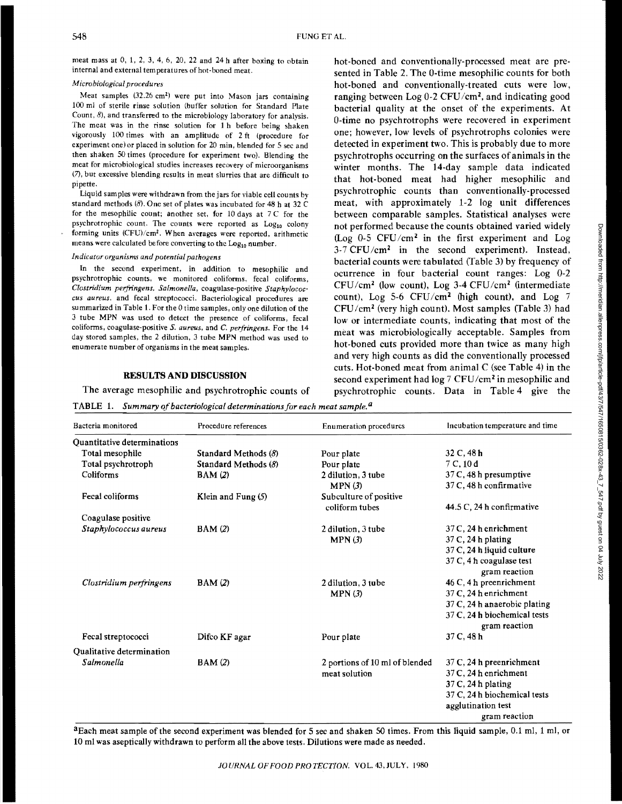meat mass at 0, 1, 2, 3, 4, 6, 20, 22 and 24 h after boxing to obtain internal and external temperatures of hot-boned meat.

# *Microbiological procedures*

Meat samples (32.26 cm<sup>2</sup>) were put into Mason jars containing 100 ml of sterile rinse solution (buffer solution for Standard Plate Count, 8), and transferred to the microbiology laboratory for analysis. The meat was in the rinse solution for 1 h before being shaken vigorously 100 times with an amplitude of 2 ft (procedure for experiment one) or placed in solution for 20 min, blended for 5 sec and then shaken 50 times (procedure for experiment two). Blending the meat for microbiological studies increases recovery of microorganisms (7), but excessive blending results in meat slurries that are difficult to pipette.

Liquid samples were withdrawn from the jars for viable cell counts by standard methods (8). One set of plates was incubated for 48 h at 32 C for the mesophilic count; another set, for 10 days at 7 C for the psychrotrophic count. The counts were reported as  $Log<sub>10</sub>$  colony forming units (CFU)/cm<sup>2</sup>. When averages were reported, arithmetic means were calculated before converting to the  $Log_{10}$  number.

#### *Indicator organisms and potential pathogens*

In the second experiment, in addition to mesophilic and psychrotrophic counts, we monitored coliforms, fecal coliforms, *Clostridium peifringens, Salmonella,* coagulase-positive *Staphylococcus aureus,* and fecal streptococci. Bacteriological procedures are summarized in Table 1. For the 0 time samples, only one dilution of the 3 tube MPN was used to detect the presence of coliforms, fecal colifonns, coagulase-positive *S. aureus,* and *C. perfringens.* For the 14 day stored samples, the 2 dilution, 3 tube MPN method was used to enumerate number of organisms in the meat samples.

# RESULTS AND DISCUSSION

The average mesophilic and psychrotrophic counts of

hot-boned and conventionally-processed meat are presented in Table 2. The 0-time mesophilic counts for both hot-boned and conventionally-treated cuts were low, ranging between Log 0-2 CFU/cm2, and indicating good bacterial quality at the onset of the experiments. At 0-time no psychrotrophs were recovered in experiment one; however, low levels of psychrotrophs colonies were detected in experiment two. This is probably due to more psychrotrophs occurring on the surfaces of animals in the winter months. The 14-day sample data indicated that hot-boned meat had higher mesophilic and psychrotrophic counts than conventionally-processed meat, with approximately 1-2 log unit differences between comparable samples. Statistical analyses were not performed because the counts obtained varied widely (Log 0-5 CFU/cm<sup>2</sup> in the first experiment and Log  $3-7$  CFU/cm<sup>2</sup> in the second experiment). Instead, bacterial counts were tabulated (fable 3) by frequency of ocurrence in four bacterial count ranges: Log 0-2  $CFU/cm<sup>2</sup>$  (low count), Log 3-4  $CFU/cm<sup>2</sup>$  (intermediate count), Log 5-6 CFU/cm<sup>2</sup> (high count), and Log  $7$ CFU/cm2 (very high count). Most samples (Table 3) had low or intermediate counts, indicating that most of the meat was microbiologically acceptable. Samples from hot-boned cuts provided more than twice as many high and very high counts as did the conventionally processed cuts. Hot-boned meat from animal C (see Table 4) in the second experiment had  $\log 7$  CFU/cm<sup>2</sup> in mesophilic and psychrotrophic counts. Data in Table 4 give the

TABLE 1. *Summary of bacteriological determinations for each meat sample. a* 

| Bacteria monitored                 | Procedure references   | Enumeration procedures         | Incubation temperature and time |  |  |  |
|------------------------------------|------------------------|--------------------------------|---------------------------------|--|--|--|
| <b>Ouantitative determinations</b> |                        |                                |                                 |  |  |  |
| Total mesophile                    | Standard Methods $(8)$ | Pour plate                     | 32 C, 48 h                      |  |  |  |
| Total psychrotroph                 | Standard Methods (8)   | Pour plate                     | 7C, 10d                         |  |  |  |
| Coliforms                          | BAM(2)                 | 2 dilution, 3 tube             | $37C$ , 48 h presumptive        |  |  |  |
|                                    |                        | MPN(3)                         | 37 C, 48 h confirmative         |  |  |  |
| Fecal coliforms                    | Klein and Fung (5)     | Subculture of positive         |                                 |  |  |  |
|                                    |                        | coliform tubes                 |                                 |  |  |  |
| Coagulase positive                 |                        |                                |                                 |  |  |  |
| Staphylococcus aureus              | BAM(2)                 | 2 dilution, 3 tube             | $37C$ , 24 h enrichment         |  |  |  |
|                                    |                        | MPN(3)                         | $37 \text{ C}$ , 24 h plating   |  |  |  |
|                                    |                        |                                | 37 C, 24 h liquid culture       |  |  |  |
|                                    |                        |                                | 37 C, 4 h coagulase test        |  |  |  |
|                                    |                        |                                | gram reaction                   |  |  |  |
| Clostridium perfringens            | BAM(2)                 | 2 dilution, 3 tube             | 46 C, 4 h preenrichment         |  |  |  |
|                                    |                        | MPN(3)                         | $37 C$ , 24 h enrichment        |  |  |  |
|                                    |                        |                                | 37 C, 24 h anaerobic plating    |  |  |  |
|                                    |                        |                                | 37 C, 24 h biochemical tests    |  |  |  |
|                                    |                        |                                | gram reaction                   |  |  |  |
| Fecal streptococci                 | Difco KF agar          | Pour plate                     | 37 C, 48 h                      |  |  |  |
| Qualitative determination          |                        |                                |                                 |  |  |  |
| Salmonella                         | <b>BAM</b> (2)         | 2 portions of 10 ml of blended | 37 C, 24 h preenrichment        |  |  |  |
|                                    |                        | meat solution                  | $37C$ , 24 h enrichment         |  |  |  |
|                                    |                        |                                | $37C$ , 24 h plating            |  |  |  |
|                                    |                        |                                | 37 C, 24 h biochemical tests    |  |  |  |
|                                    |                        |                                | agglutination test              |  |  |  |
|                                    |                        |                                | gram reaction                   |  |  |  |

a Each meat sample of the second experiment was blended for 5 sec and shaken SO times. From this liquid sample, 0.1 ml, 1 ml, or 10 ml was aseptically withdrawn to perform all the above tests. Dilutions were made as needed.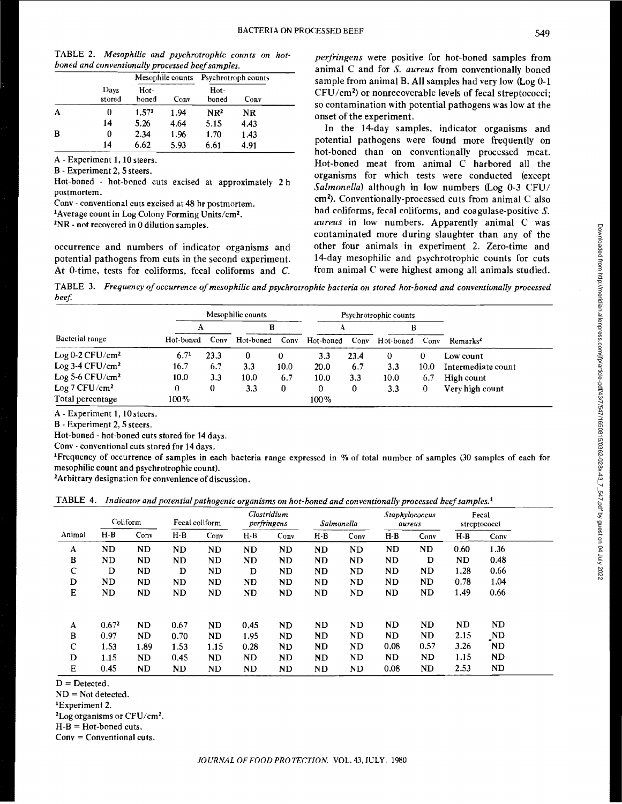Downloaded from http://meridian.allenpress.com/fp/article-pdf43/7/547/1650815/0362-028x-43\_7\_547.pdf by guest on 04 July 2022 Downloaded from http://meridian.allenpress.com/jfp/article-pdf/43/7/547/1650815/0362-028x-43\_7\_547.pdf by guest on 04 July 2022

|  | TABLE 2. Mesophilic and psychrotrophic counts on hot- |  |  |
|--|-------------------------------------------------------|--|--|
|  | boned and conventionally processed beef samples.      |  |  |

|   |                |                   |      | Mesophile counts Psychrotroph counts |      |  |
|---|----------------|-------------------|------|--------------------------------------|------|--|
|   | Days<br>stored | $Hot -$<br>boned  | Conv | Hot-<br>boned                        | Conv |  |
| А |                | 1.57 <sup>1</sup> | 1.94 | NR <sup>2</sup>                      | NR   |  |
|   | 14             | 5.26              | 4.64 | 5.15                                 | 4.43 |  |
| В | 0              | 2.34              | 1.96 | 1.70                                 | 1.43 |  |
|   | 14             | 6.62              | 5.93 | 6.61                                 | 4.91 |  |

A- Experiment 1, 10 steers.

B- Experiment 2, *5* steers.

Hot-boned - hot-boned cuts excised at approximately 2 h postmortem.

Conv - conventional cuts excised at 48 hr postmortem.

Average count in Log Colony Forming Units/cm2.

*<sup>2</sup>*NR- not recovered in 0 dilution samples.

occurrence and numbers of indicator organisms and potential pathogens from cuts in the second experiment. At 0-time, tests for coliforms, fecal coliforms and C.

*perfringens* were positive for hot-boned samples from animal C and for *S. aureus* from conventionally boned sample from animal B. All samples had very *low* (Log 0-1 CFU/cm2 ) or nonrecoverable levels of fecal streptococci; so contamination with potential pathogens was low at the onset of the experiment.

In the 14-day samples, indicator organisms and potential pathogens were found more frequently on hot-boned than on conventionally processed meat. Hot-boned meat from animal C harbored all the organisms for which tests were conducted (except *Salmonella)* although in *low* numbers (Log 0-3 CPU/ cm2). Conventionally-processed cuts from animal C also had coliforms, fecal coliforms, and coagulase-positive *S. aureus* in low numbers. Apparently animal C was contaminated more during slaughter than any of the other four animals in experiment 2. Zero-time and 14-day mesophilic and psychrotrophic counts for cuts from animal C were highest among all animals studied.

TABLE 3. *Frequency of occurrence of mesophilic and psychrotrophic bacteria on stored hot-boned and conventionally processed beef.* 

|                               |                  | Psychrotrophic counts |           |      |           |      |           |      |                      |  |
|-------------------------------|------------------|-----------------------|-----------|------|-----------|------|-----------|------|----------------------|--|
|                               |                  |                       | В         |      | А         |      | в         |      |                      |  |
| Bacterial range               | Hot-boned        | Conv                  | Hot-boned | Conv | Hot-boned | Conv | Hot-boned | Conv | Remarks <sup>2</sup> |  |
| Log $0-2$ CFU/cm <sup>2</sup> | 6.7 <sup>1</sup> | 23.3                  | 0         | 0    | 3.3       | 23.4 | 0         | 0    | Low count            |  |
| $Log 3-4 CFU/cm2$             | 16.7             | 6.7                   | 3.3       | 10.0 | 20.0      | 6.7  | 3.3       | 10.0 | Intermediate count   |  |
| Log 5-6 $CFU/cm^2$            | 10.0             | 3.3                   | 10.0      | 6.7  | 10.0      | 3.3  | 10.0      | 6.7  | High count           |  |
| Log 7 CFU/cm <sup>2</sup>     | 0                | 0                     | 3.3       | 0    | 0         | 0    | 3.3       | 0    | Very high count      |  |
| Total percentage              | $100\%$          |                       |           |      | 100%      |      |           |      |                      |  |

A- Experiment 1, lOsteers.

B - Experiment 2, 5 steers.

Hot-boned- hot-boned cuts stored for 14 days.

Conv - conventional cuts stored for 14 days.

1Frequency of occurrence of samples in each bacteria range expressed in % of total number of samples (30 samples of each for mesophilic count and psychrotrophic count).

2 Arbitrary designation for convenience of discussion.

|  |  |  | TABLE 4. Indicator and potential pathogenic organisms on hot-boned and conventionally processed beef samples. <sup>1</sup> |  |
|--|--|--|----------------------------------------------------------------------------------------------------------------------------|--|
|--|--|--|----------------------------------------------------------------------------------------------------------------------------|--|

|              | Coliform          |      |           |      |           | Fecal coliform |       | Clostridium<br>perfringens |           |           | Salmonella |      | <b>Staphylococcus</b><br>aureus |  | Fecal<br>streptococci |  |
|--------------|-------------------|------|-----------|------|-----------|----------------|-------|----------------------------|-----------|-----------|------------|------|---------------------------------|--|-----------------------|--|
| Animal       | $H-B$             | Conv | $H - B$   | Conv | $H - B$   | Conv           | $H-B$ | Conv                       | $H-B$     | Conv      | $H - B$    | Conv |                                 |  |                       |  |
| A            | ND                | ND   | <b>ND</b> | ND   | ND        | ND             | ND.   | <b>ND</b>                  | ND        | <b>ND</b> | 0.60       | 1.36 |                                 |  |                       |  |
| B            | ND                | ND   | ND        | ND   | <b>ND</b> | ND.            | ND    | ND                         | ND        | D         | ND         | 0.48 |                                 |  |                       |  |
| $\mathbf C$  | D                 | ND   | D         | ND   | D         | ND             | ND    | ND                         | ND        | ND        | 1.28       | 0.66 |                                 |  |                       |  |
| D            | ND                | ND   | <b>ND</b> | ND   | ND        | ND             | ND    | ND                         | <b>ND</b> | ND        | 0.78       | 1.04 |                                 |  |                       |  |
| E            | ND                | ND   | ND        | ND   | ND        | ND             | ND    | ND                         | ND        | ND.       | 1.49       | 0.66 |                                 |  |                       |  |
| $\mathbf{A}$ | 0.67 <sup>2</sup> | ND.  | 0.67      | ND   | 0.45      | ND             | ND    | ND                         | ND        | ND        | ND         | ND.  |                                 |  |                       |  |
| B            | 0.97              | ND   | 0.70      | ND   | 1.95      | <b>ND</b>      | ND    | ND                         | ND        | ND        | 2.15       | ND   |                                 |  |                       |  |
| $\mathbf C$  | 1.53              | 1.89 | 1.53      | 1.15 | 0.28      | ND             | ND    | ND                         | 0.08      | 0.57      | 3.26       | ND   |                                 |  |                       |  |
| D            | 1.15              | ND   | 0.45      | ND   | ND        | ND             | ND    | ND                         | ND        | ND        | 1.15       | ND   |                                 |  |                       |  |
| Е            | 0.45              | ND   | ND        | ND   | ND        | ND             | ND    | ND                         | 0.08      | <b>ND</b> | 2.53       | ND   |                                 |  |                       |  |

 $D =$ Detected.

 $ND = Not detected.$ <br><sup>1</sup>Experiment 2.

*2Log* organisms or CFU/cm2.

 $H-B = Hot-boned cuts.$ 

Conv =Conventional cuts.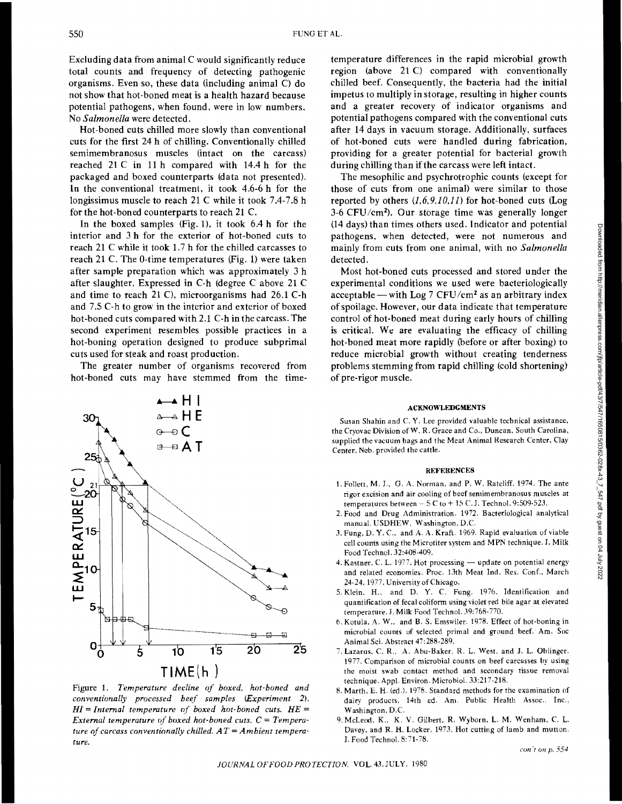Excluding data from animal C would significantly reduce total counts and frequency of detecting pathogenic organisms. Even so, these data (including animal C) do not show that hot-boned meat is a health hazard because potential pathogens, when found, were in low numbers. No *Salmonella* were detected.

Hot-boned cuts chilled more slowly than conventional cuts for the first 24 **h** of chilling. Conventionally chilled semimembranosus muscles (intact on the carcass) reached  $21 \text{ C}$  in  $11 \text{ h}$  compared with  $14.4 \text{ h}$  for the packaged and boxed counterparts (data not presented). **ln** the conventional treatment, it took 4.6-6 h for the longissimus muscle to reach 21 C while it took 7.4-7.8 h for the hot-boned counterparts to reach 21 C.

In the boxed samples (Fig. 1), it took 6.4 h for the interior and 3 **h** for the exterior of hot-boned cuts to reach 21 C while it took 1.7 h for the chilled carcasses to reach 21 C. The 0-time temperatures (Fig. 1) were taken after sample preparation which was approximately 3 h after slaughter. Expressed in C-h (degree C above 21 C and time to reach 21 C), microorganisms had 26.1 C-h and 7.5 C-h to grow in the interior and exterior of boxed hot-boned cuts compared with 2.1 C-h in the carcass. The second experiment resembles possible practices in a hot-boning operation designed to produce subprimal cuts used for steak and roast production.

The greater number of organisms recovered from hot-boned cuts may have stemmed from the time-



Figure 1. *Temperature decline of boxed. hot-boned and conventionally processed beef samples (Experiment* 2). *HI= Internal temperature of boxed hot-boned cuts. HE External temperature of boxed hot-boned cuts.*  $C = Temperature$ *ture of carcass conventionally chilled. AT= Ambient temperature.* 

temperature differences in the rapid microbial growth region (above 21 C) compared with conventionally chilled beef. Consequently, the bacteria had the initial impetus to multiply in storage, resulting in higher counts and a greater recovery of indicator organisms and potential pathogens compared with the conventional cuts after 14 days in vacuum storage. Additionally, surfaces of hot-boned cuts were handled during fabrication, providing for a greater potential for bacterial growth during chilling than if the carcass were left intact.

The mesophilic and psychrotrophic counts (except for those of cuts from one animal) were similar to those reported by others *(1,6,9.10,1* I) for hot-boned cuts (Log 3-6 CFU/cm2 ). Our storage time was generally longer (14 days) than times others used. Indicator and potential pathogens, when detected, were not numerous and mainly from cuts from one animal, with no *Salmonella*  detected.

Most hot-boned cuts processed and stored under the experimental conditions we used were bacteriologically acceptable — with Log 7 CFU/cm<sup>2</sup> as an arbitrary index of spoilage. However, our data indicate that temperature control of hot-boned meat during early hours of chilling is critical. We are evaluating the efficacy of chilling hot-boned meat more rapidly (before or after boxing) to reduce microbial growth without creating tenderness problems stemming from rapid chilling (cold shortening) of pre-rigor muscle.

#### ACKNOWLEDGMENTS

Susan Shahin and C. Y. Lee provided valuable technical assistance, the Cryovac Division ofW. R. Grace and Co., Duncan, South Carolina, supplied the vacuum bags and the Meat Animal Research Center, Clay Center. Ncb. provided the cattle.

#### REFERENCES

- I. Follett, M. J., G. A. Norman, and P. W. Ratcliff. 1974. The ante rigor excision and air cooling of beef semimembranosus muscles at temperatures between  $-5$  C to  $+$  15 C.J. Technol. 9:509-523.
- 2. Food and Drug Administration. 1972. Bacteriological analytical manuaL VSDHEW, Washington, D.C.
- 3. Fung, D. Y. C., and A. A. Kraft. 1969. Rapid evaluation of viable cell counts using the Microtiter system and MPN technique. J. Milk Food Techno!. 32:408-409.
- 4. Kastner, C. L. 1977. Hot processing update on potential energy and related economics. Proc. 13th Meat Ind. Res. Conf., March 24-24, 1977. University of Chicago.
- 5. Klein. H.. and D. Y. C. Fung. 1976. Identification and quantification of fecal colifonn using violet red bile agar at elevated temperature. J. Milk Food Techno!. 39:768-770.
- 6. Kotula. A. W .• and B.S. Emswiler. 1978. Effect of hot-boning in microbial counts of selected primal and ground beef. Am. Soc Animal Sci. Abstract 47:288-289.
- 7. Lazarus. C. R., A. Abu-Baker, R. L. West. and J. L. Ohlinger. 1977. Comparison of microbial counts on beef carcasses by using the moist swab contact method and secondary tissue removal technique. Appl. Environ. Micro bioi. 33:217-218.
- 8. Marth, E. H. (ed.). 1978. Standard methods for the examination of dairy products, 14th ed. Am. Public Health Assoc.. Inc., Washington. D.C.
- 9. McLeod, K., K. V. Gilbert, R. Wyborn, L. M. Wenham, C. L. Davey. and R. H. Locker. 1973. Hot cutting of lamb and mutton. J. Food Techno!. 8:71-78.